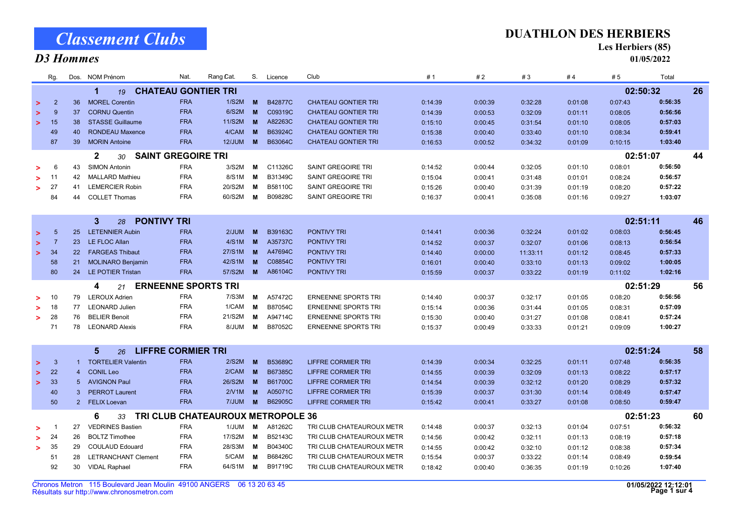Classement Clubs

#### D3 Hommes

#### DUATHLON DES HERBIERS

Les Herbiers (85)

01/05/2022

|                                                                      | Rg.            |                 | Dos. NOM Prénom                                    | Nat.       | Rang Cat. | S. | Licence        | Club                       | #1      | #2      | #3       | #4       | # 5      | Total   |    |
|----------------------------------------------------------------------|----------------|-----------------|----------------------------------------------------|------------|-----------|----|----------------|----------------------------|---------|---------|----------|----------|----------|---------|----|
| 02:50:32<br>$\blacktriangleleft$<br><b>CHATEAU GONTIER TRI</b><br>19 |                |                 |                                                    |            |           |    |                |                            |         |         |          |          |          |         | 26 |
| $\geq$                                                               | $\overline{2}$ | 36              | <b>MOREL Corentin</b>                              | <b>FRA</b> | 1/S2M     | M  | B42877C        | <b>CHATEAU GONTIER TRI</b> | 0:14:39 | 0:00:39 | 0:32:28  | 0:01:08  | 0:07:43  | 0:56:35 |    |
| $\geq$                                                               | 9              | 37              | <b>CORNU Quentin</b>                               | <b>FRA</b> | 6/S2M     | M  | C09319C        | <b>CHATEAU GONTIER TRI</b> | 0:14:39 | 0:00:53 | 0:32:09  | 0:01:11  | 0:08:05  | 0:56:56 |    |
| $\geq$                                                               | 15             | 38              | <b>STASSE Guillaume</b>                            | <b>FRA</b> | 11/S2M    | M  | A82263C        | <b>CHATEAU GONTIER TRI</b> | 0:15:10 | 0:00:45 | 0:31:54  | 0:01:10  | 0:08:05  | 0:57:03 |    |
|                                                                      | 49             | 40              | <b>RONDEAU Maxence</b>                             | <b>FRA</b> | 4/CAM     | M  | B63924C        | <b>CHATEAU GONTIER TRI</b> | 0:15:38 | 0:00:40 | 0:33:40  | 0:01:10  | 0:08:34  | 0:59:41 |    |
|                                                                      | 87             | 39              | <b>MORIN Antoine</b>                               | <b>FRA</b> | 12/JUM    | M  | B63064C        | <b>CHATEAU GONTIER TRI</b> | 0:16:53 | 0:00:52 | 0:34:32  | 0:01:09  | 0:10:15  | 1:03:40 |    |
| $\mathbf{2}$<br><b>SAINT GREGOIRE TRI</b><br>30                      |                |                 |                                                    |            |           |    |                |                            |         |         |          |          | 02:51:07 |         | 44 |
| >                                                                    | 6              | 43              | <b>SIMON Antonin</b>                               | <b>FRA</b> | 3/S2M     | M  | C11326C        | SAINT GREGOIRE TRI         | 0:14:52 | 0:00:44 | 0:32:05  | 0:01:10  | 0:08:01  | 0:56:50 |    |
|                                                                      | 11             | 42              | <b>MALLARD Mathieu</b>                             | <b>FRA</b> | 8/S1M     | M  | B31349C        | <b>SAINT GREGOIRE TRI</b>  | 0:15:04 | 0:00:41 | 0:31:48  | 0:01:01  | 0:08:24  | 0:56:57 |    |
| >                                                                    | 27             | 41              | <b>LEMERCIER Robin</b>                             | <b>FRA</b> | 20/S2M    | M  | B58110C        | SAINT GREGOIRE TRI         | 0:15:26 | 0:00:40 | 0:31:39  | 0:01:19  | 0:08:20  | 0:57:22 |    |
|                                                                      | 84             | 44              | <b>COLLET Thomas</b>                               | <b>FRA</b> | 60/S2M    | M  | B09828C        | SAINT GREGOIRE TRI         | 0:16:37 | 0:00:41 | 0:35:08  | 0:01:16  | 0:09:27  | 1:03:07 |    |
|                                                                      |                |                 |                                                    |            |           |    |                |                            |         |         |          |          |          |         |    |
|                                                                      |                |                 | $\mathbf{3}$<br><b>PONTIVY TRI</b><br>28           |            |           |    |                |                            |         |         |          |          | 02:51:11 |         | 46 |
| $\geq$                                                               | 5              | 25              | <b>LETENNIER Aubin</b>                             | <b>FRA</b> | 2/JUM     | M  | B39163C        | <b>PONTIVY TRI</b>         | 0:14:41 | 0:00:36 | 0:32:24  | 0:01:02  | 0:08:03  | 0:56:45 |    |
| $\geq$                                                               | $\overline{7}$ | 23              | LE FLOC Allan                                      | <b>FRA</b> | 4/S1M     | M  | A35737C        | <b>PONTIVY TRI</b>         | 0:14:52 | 0:00:37 | 0:32:07  | 0:01:06  | 0:08:13  | 0:56:54 |    |
| $\geq$                                                               | 34             | 22 <sub>2</sub> | <b>FARGEAS Thibaut</b>                             | <b>FRA</b> | 27/S1M    | M  | A47694C        | <b>PONTIVY TRI</b>         | 0:14:40 | 0:00:00 | 11:33:11 | 0:01:12  | 0:08:45  | 0:57:33 |    |
|                                                                      | 58             | 21              | <b>MOLINARO Benjamin</b>                           | <b>FRA</b> | 42/S1M    | M  | C08854C        | <b>PONTIVY TRI</b>         | 0:16:01 | 0:00:40 | 0:33:10  | 0:01:13  | 0:09:02  | 1:00:05 |    |
|                                                                      | 80             |                 | 24 LE POTIER Tristan                               | <b>FRA</b> | 57/S2M    | M  | A86104C        | <b>PONTIVY TRI</b>         | 0:15:59 | 0:00:37 | 0:33:22  | 0:01:19  | 0:11:02  | 1:02:16 |    |
| 4<br><b>ERNEENNE SPORTS TRI</b><br>21                                |                |                 |                                                    |            |           |    |                |                            |         |         |          |          | 02:51:29 |         | 56 |
| $\geq$                                                               | 10             | 79              | <b>LEROUX Adrien</b>                               | <b>FRA</b> | 7/S3M     | М  | A57472C        | <b>ERNEENNE SPORTS TRI</b> | 0:14:40 | 0:00:37 | 0:32:17  | 0:01:05  | 0:08:20  | 0:56:56 |    |
| >                                                                    | 18             | 77              | <b>LEONARD Julien</b>                              | <b>FRA</b> | 1/CAM     | M  | B87054C        | <b>ERNEENNE SPORTS TRI</b> | 0:15:14 | 0:00:36 | 0:31:44  | 0:01:05  | 0:08:31  | 0:57:09 |    |
| $\geq$                                                               | 28             | 76              | <b>BELIER Benoit</b>                               | <b>FRA</b> | 21/S2M    | м  | A94714C        | <b>ERNEENNE SPORTS TRI</b> | 0:15:30 | 0:00:40 | 0:31:27  | 0:01:08  | 0:08:41  | 0:57:24 |    |
|                                                                      | 71             | 78              | <b>LEONARD Alexis</b>                              | <b>FRA</b> | MUL/8     | м  | B87052C        | <b>ERNEENNE SPORTS TRI</b> | 0:15:37 | 0:00:49 | 0:33:33  | 0:01:21  | 0:09:09  | 1:00:27 |    |
|                                                                      |                |                 |                                                    |            |           |    |                |                            |         |         |          |          |          |         |    |
|                                                                      |                |                 | $5\phantom{.0}$<br><b>LIFFRE CORMIER TRI</b><br>26 |            |           |    |                |                            |         |         |          |          | 02:51:24 |         | 58 |
| $\geq$                                                               | 3              | $\mathbf{1}$    | <b>TORTELIER Valentin</b>                          | <b>FRA</b> | 2/S2M     | M  | <b>B53689C</b> | LIFFRE CORMIER TRI         | 0:14:39 | 0:00:34 | 0:32:25  | 0:01:11  | 0:07:48  | 0:56:35 |    |
| $\geq$                                                               | 22             | $\overline{4}$  | <b>CONIL Leo</b>                                   | <b>FRA</b> | 2/CAM     | M  | B67385C        | <b>LIFFRE CORMIER TRI</b>  | 0:14:55 | 0:00:39 | 0:32:09  | 0:01:13  | 0:08:22  | 0:57:17 |    |
| $\geq$                                                               | 33             | $5^{\circ}$     | <b>AVIGNON Paul</b>                                | <b>FRA</b> | 26/S2M    | M  | B61700C        | <b>LIFFRE CORMIER TRI</b>  | 0:14:54 | 0:00:39 | 0:32:12  | 0:01:20  | 0:08:29  | 0:57:32 |    |
|                                                                      | 40             | 3               | <b>PERROT Laurent</b>                              | <b>FRA</b> | 2/V1M     | M  | A05071C        | LIFFRE CORMIER TRI         | 0:15:39 | 0:00:37 | 0:31:30  | 0:01:14  | 0:08:49  | 0:57:47 |    |
|                                                                      | 50             | $2^{\circ}$     | <b>FELIX Loevan</b>                                | <b>FRA</b> | 7/JUM     | M  | B62905C        | <b>LIFFRE CORMIER TRI</b>  | 0:15:42 | 0:00:41 | 0:33:27  | 0:01:08  | 0:08:50  | 0:59:47 |    |
| TRI CLUB CHATEAUROUX METROPOLE 36<br>6<br>33                         |                |                 |                                                    |            |           |    |                |                            |         |         |          | 02:51:23 |          | 60      |    |
| >                                                                    |                | 27              | <b>VEDRINES Bastien</b>                            | <b>FRA</b> | 1/JUM     | м  | A81262C        | TRI CLUB CHATEAUROUX METR  | 0:14:48 | 0:00:37 | 0:32:13  | 0:01:04  | 0:07:51  | 0:56:32 |    |
|                                                                      | 24             | 26              | <b>BOLTZ Timothee</b>                              | <b>FRA</b> | 17/S2M    | M  | B52143C        | TRI CLUB CHATEAUROUX METR  | 0:14:56 | 0:00:42 | 0:32:11  | 0:01:13  | 0:08:19  | 0:57:18 |    |
| >                                                                    | 35             | 29              | <b>COULAUD Edouard</b>                             | <b>FRA</b> | 28/S3M    | M  | B04340C        | TRI CLUB CHATEAUROUX METR  | 0:14:55 | 0:00:42 | 0:32:10  | 0:01:12  | 0:08:38  | 0:57:34 |    |
|                                                                      | 51             | 28              | <b>LETRANCHANT Clement</b>                         | <b>FRA</b> | 5/CAM     | м  | B68426C        | TRI CLUB CHATEAUROUX METR  | 0:15:54 | 0:00:37 | 0:33:22  | 0:01:14  | 0:08:49  | 0:59:54 |    |
|                                                                      | 92             | 30              | <b>VIDAL Raphael</b>                               | <b>FRA</b> | 64/S1M    | M  | B91719C        | TRI CLUB CHATEAUROUX METR  | 0:18:42 | 0:00:40 | 0:36:35  | 0:01:19  | 0:10:26  | 1:07:40 |    |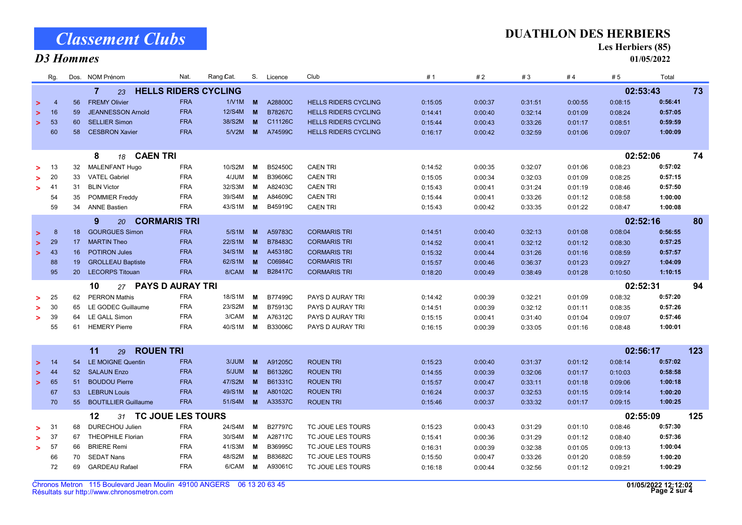#### Résultats sur http://www.chronosmetron.com Chronos Metron 115 Boulevard Jean Moulin 49100 ANGERS 06 13 20 63 45

|        | Rg.                            |                 | Dos. NOM Prénom                     | Nat.       | Rang Cat.                   | S.       | Licence | Club                        | #1      | #2      | #3      | #4       | #5       | Total   |     |
|--------|--------------------------------|-----------------|-------------------------------------|------------|-----------------------------|----------|---------|-----------------------------|---------|---------|---------|----------|----------|---------|-----|
|        |                                |                 | $\overline{7}$<br>23                |            | <b>HELLS RIDERS CYCLING</b> |          |         |                             |         |         |         | 02:53:43 |          | 73      |     |
| $\geq$ | $\overline{4}$                 | 56              | <b>FREMY Olivier</b>                | <b>FRA</b> | 1/V1M                       | M        | A28800C | <b>HELLS RIDERS CYCLING</b> | 0:15:05 | 0:00:37 | 0:31:51 | 0:00:55  | 0:08:15  | 0:56:41 |     |
| ∍      | 16                             | 59              | <b>JEANNESSON Arnold</b>            | <b>FRA</b> | 12/S4M                      | M        | B78267C | <b>HELLS RIDERS CYCLING</b> | 0:14:41 | 0:00:40 | 0:32:14 | 0:01:09  | 0:08:24  | 0:57:05 |     |
| ↘      | 53                             | 60              | <b>SELLIER Simon</b>                | <b>FRA</b> | 38/S2M                      | M        | C11126C | <b>HELLS RIDERS CYCLING</b> | 0:15:44 | 0:00:43 | 0:33:26 | 0:01:17  | 0:08:51  | 0:59:59 |     |
|        | 60                             | 58              | <b>CESBRON Xavier</b>               | <b>FRA</b> | 5/N2M                       | M        | A74599C | <b>HELLS RIDERS CYCLING</b> | 0:16:17 | 0:00:42 | 0:32:59 | 0:01:06  | 0:09:07  | 1:00:09 |     |
|        |                                |                 |                                     |            |                             |          |         |                             |         |         |         |          |          |         |     |
|        |                                |                 | <b>CAEN TRI</b><br>8<br>18          |            |                             |          |         |                             |         |         |         |          | 02:52:06 |         | 74  |
| >      | -13                            | 32              | MALENFANT Hugo                      | <b>FRA</b> | 10/S2M                      | м        | B52450C | <b>CAEN TRI</b>             | 0:14:52 | 0:00:35 | 0:32:07 | 0:01:06  | 0:08:23  | 0:57:02 |     |
| >      | 20                             | 33              | <b>VATEL Gabriel</b>                | <b>FRA</b> | 4/JUM                       | М        | B39606C | <b>CAEN TRI</b>             | 0:15:05 | 0:00:34 | 0:32:03 | 0:01:09  | 0:08:25  | 0:57:15 |     |
| >      | 41                             | 31              | <b>BLIN Victor</b>                  | <b>FRA</b> | 32/S3M                      | M        | A82403C | <b>CAEN TRI</b>             | 0:15:43 | 0:00:41 | 0:31:24 | 0:01:19  | 0:08:46  | 0:57:50 |     |
|        | 54                             | 35              | <b>POMMIER Freddy</b>               | <b>FRA</b> | 39/S4M                      | м        | A84609C | <b>CAEN TRI</b>             | 0:15:44 | 0:00:41 | 0:33:26 | 0:01:12  | 0:08:58  | 1:00:00 |     |
|        | 59                             | 34              | <b>ANNE Bastien</b>                 | <b>FRA</b> | 43/S1M                      | М        | B45919C | <b>CAEN TRI</b>             | 0:15:43 | 0:00:42 | 0:33:35 | 0:01:22  | 0:08:47  | 1:00:08 |     |
|        | 9<br><b>CORMARIS TRI</b><br>20 |                 |                                     |            |                             |          |         |                             |         |         |         |          | 02:52:16 |         | 80  |
| $\geq$ | 8                              | 18              | <b>GOURGUES Simon</b>               | <b>FRA</b> | 5/S1M                       | M        | A59783C | <b>CORMARIS TRI</b>         | 0:14:51 | 0:00:40 | 0:32:13 | 0:01:08  | 0:08:04  | 0:56:55 |     |
| $\geq$ | 29                             | 17              | <b>MARTIN Theo</b>                  | <b>FRA</b> | 22/S1M                      | M        | B78483C | <b>CORMARIS TRI</b>         | 0:14:52 | 0:00:41 | 0:32:12 | 0:01:12  | 0:08:30  | 0:57:25 |     |
| $\geq$ | 43                             | 16              | <b>POTIRON Jules</b>                | <b>FRA</b> | 34/S1M                      | M        | A45318C | <b>CORMARIS TRI</b>         | 0:15:32 | 0:00:44 | 0:31:26 | 0:01:16  | 0:08:59  | 0:57:57 |     |
|        | 88                             | 19              | <b>GROLLEAU Baptiste</b>            | <b>FRA</b> | 62/S1M                      | M        | C06984C | <b>CORMARIS TRI</b>         | 0:15:57 | 0:00:46 | 0:36:37 | 0:01:23  | 0:09:27  | 1:04:09 |     |
|        | 95                             | 20              | <b>LECORPS Titouan</b>              | <b>FRA</b> | 8/CAM                       | M        | B28417C | <b>CORMARIS TRI</b>         | 0:18:20 | 0:00:49 | 0:38:49 | 0:01:28  | 0:10:50  | 1:10:15 |     |
|        |                                |                 | <b>PAYS D AURAY TRI</b><br>10<br>27 |            |                             |          |         |                             |         |         |         |          | 02:52:31 |         | 94  |
| ×.     | 25                             | 62              | <b>PERRON Mathis</b>                | <b>FRA</b> | 18/S1M                      | М        | B77499C | PAYS D AURAY TRI            | 0:14:42 | 0:00:39 | 0:32:21 | 0:01:09  | 0:08:32  | 0:57:20 |     |
| >      | 30                             | 65              | LE GODEC Guillaume                  | <b>FRA</b> | 23/S2M                      | м        | B75913C | PAYS D AURAY TRI            | 0:14:51 | 0:00:39 | 0:32:12 | 0:01:11  | 0:08:35  | 0:57:26 |     |
| $\geq$ | 39                             | 64              | <b>LE GALL Simon</b>                | <b>FRA</b> | 3/CAM                       | М        | A76312C | PAYS D AURAY TRI            | 0:15:15 | 0:00:41 | 0:31:40 | 0:01:04  | 0:09:07  | 0:57:46 |     |
|        | 55                             | 61              | <b>HEMERY Pierre</b>                | <b>FRA</b> | 40/S1M                      | м        | B33006C | PAYS D AURAY TRI            | 0:16:15 | 0:00:39 | 0:33:05 | 0:01:16  | 0:08:48  | 1:00:01 |     |
|        |                                |                 |                                     |            |                             |          |         |                             |         |         |         |          |          |         |     |
|        |                                |                 | 11<br><b>ROUEN TRI</b><br>29        |            |                             |          |         |                             |         |         |         |          | 02:56:17 |         | 123 |
| $\geq$ | - 14                           | 54              | <b>LE MOIGNE Quentin</b>            | <b>FRA</b> | 3/JUM                       | M        | A91205C | <b>ROUEN TRI</b>            | 0:15:23 | 0:00:40 | 0:31:37 | 0:01:12  | 0:08:14  | 0:57:02 |     |
| $\geq$ | -44                            | 52 <sub>2</sub> | <b>SALAUN Enzo</b>                  | <b>FRA</b> | 5/JUM                       | M        | B61326C | <b>ROUEN TRI</b>            | 0:14:55 | 0:00:39 | 0:32:06 | 0:01:17  | 0:10:03  | 0:58:58 |     |
| $\geq$ | 65                             | 51              | <b>BOUDOU Pierre</b>                | <b>FRA</b> | 47/S2M                      | M        | B61331C | <b>ROUEN TRI</b>            | 0:15:57 | 0:00:47 | 0:33:11 | 0:01:18  | 0:09:06  | 1:00:18 |     |
|        | 67                             | 53              | <b>LEBRUN Louis</b>                 | <b>FRA</b> | 49/S1M                      | M        | A80102C | <b>ROUEN TRI</b>            | 0:16:24 | 0:00:37 | 0:32:53 | 0:01:15  | 0:09:14  | 1:00:20 |     |
|        | 70                             | 55 <sub>5</sub> | <b>BOUTILLIER Guillaume</b>         | <b>FRA</b> | 51/S4M                      | <b>M</b> | A33537C | <b>ROUEN TRI</b>            | 0:15:46 | 0:00:37 | 0:33:32 | 0:01:17  | 0:09:15  | 1:00:25 |     |
|        | TC JOUE LES TOURS<br>12<br>31  |                 |                                     |            |                             |          |         |                             |         |         |         |          | 02:55:09 |         | 125 |
| >      | -31                            | 68              | DURECHOU Julien                     | <b>FRA</b> | 24/S4M                      | М        | B27797C | TC JOUE LES TOURS           | 0:15:23 | 0:00:43 | 0:31:29 | 0:01:10  | 0:08:46  | 0:57:30 |     |
| >      | 37                             | 67              | <b>THEOPHILE Florian</b>            | <b>FRA</b> | 30/S4M                      | M        | A28717C | TC JOUE LES TOURS           | 0:15:41 | 0:00:36 | 0:31:29 | 0:01:12  | 0:08:40  | 0:57:36 |     |
| >      | 57                             | 66              | <b>BRIERE Remi</b>                  | <b>FRA</b> | 41/S3M                      | М        | B36995C | TC JOUE LES TOURS           | 0:16:31 | 0:00:39 | 0:32:38 | 0:01:05  | 0:09:13  | 1:00:04 |     |
|        | 66                             | 70              | <b>SEDAT Nans</b>                   | <b>FRA</b> | 48/S2M                      | M        | B83682C | TC JOUE LES TOURS           | 0:15:50 | 0:00:47 | 0:33:26 | 0:01:20  | 0:08:59  | 1:00:20 |     |
|        | 72                             | 69              | <b>GARDEAU Rafael</b>               | <b>FRA</b> | 6/CAM                       | М        | A93061C | TC JOUE LES TOURS           | 0:16:18 | 0:00:44 | 0:32:56 | 0:01:12  | 0:09:21  | 1:00:29 |     |
|        |                                |                 |                                     |            |                             |          |         |                             |         |         |         |          |          |         |     |

### Classement Clubs D3 Hommes

#### DUATHLON DES HERBIERS

Les Herbiers (85)

01/05/2022

Page 2 sur 4 01/05/2022 12:12:02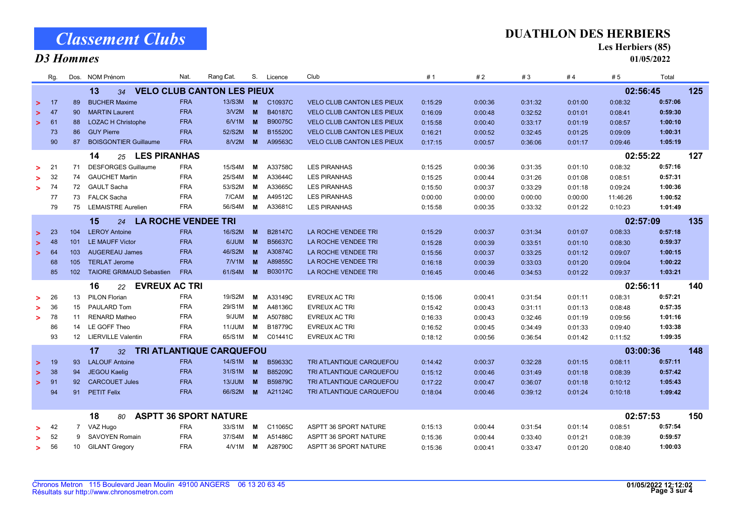|                                                           | Rg. |                | Dos. NOM Prénom                        | Nat.       | Rang Cat.                    |          | S. Licence     | Club                              | #1      | #2      | #3       | #4      | # 5      | Total   |     |
|-----------------------------------------------------------|-----|----------------|----------------------------------------|------------|------------------------------|----------|----------------|-----------------------------------|---------|---------|----------|---------|----------|---------|-----|
| <b>VELO CLUB CANTON LES PIEUX</b><br>13<br>02:56:45<br>34 |     |                |                                        |            |                              |          |                |                                   |         |         |          |         |          |         | 125 |
| $\geq$                                                    | 17  | 89             | <b>BUCHER Maxime</b>                   | <b>FRA</b> | 13/S3M                       | <b>M</b> | C10937C        | <b>VELO CLUB CANTON LES PIEUX</b> | 0:15:29 | 0:00:36 | 0:31:32  | 0:01:00 | 0:08:32  | 0:57:06 |     |
| >                                                         | 47  | 90             | <b>MARTIN Laurent</b>                  | <b>FRA</b> | 3N2M                         | <b>M</b> | B40187C        | <b>VELO CLUB CANTON LES PIEUX</b> | 0:16:09 | 0:00:48 | 0:32:52  | 0:01:01 | 0:08:41  | 0:59:30 |     |
| >                                                         | 61  | 88             | <b>LOZAC H Christophe</b>              | <b>FRA</b> | 6N1M                         | M        | B90075C        | <b>VELO CLUB CANTON LES PIEUX</b> | 0:15:58 | 0:00:40 | 0:33:17  | 0:01:19 | 0:08:57  | 1:00:10 |     |
|                                                           | 73  | 86             | <b>GUY Pierre</b>                      | <b>FRA</b> | 52/S2M                       | M        | B15520C        | <b>VELO CLUB CANTON LES PIEUX</b> | 0:16:21 | 0:00:52 | 0:32:45  | 0:01:25 | 0:09:09  | 1:00:31 |     |
|                                                           | 90  | 87             | <b>BOISGONTIER Guillaume</b>           | <b>FRA</b> | 8/V2M                        | M        | A99563C        | <b>VELO CLUB CANTON LES PIEUX</b> | 0:17:15 | 0:00:57 | 0:36:06  | 0:01:17 | 0:09:46  | 1:05:19 |     |
| <b>LES PIRANHAS</b><br>14<br>25                           |     |                |                                        |            |                              |          |                |                                   |         |         |          |         | 02:55:22 |         | 127 |
| >                                                         | 21  | 71             | <b>DESFORGES Guillaume</b>             | <b>FRA</b> | 15/S4M                       | M        | A33758C        | <b>LES PIRANHAS</b>               | 0:15:25 | 0:00:36 | 0:31:35  | 0:01:10 | 0:08:32  | 0:57:16 |     |
| >                                                         | 32  | 74             | <b>GAUCHET Martin</b>                  | <b>FRA</b> | 25/S4M                       | м        | A33644C        | <b>LES PIRANHAS</b>               | 0:15:25 | 0:00:44 | 0:31:26  | 0:01:08 | 0:08:51  | 0:57:31 |     |
| >                                                         | 74  | 72             | <b>GAULT Sacha</b>                     | <b>FRA</b> | 53/S2M                       | м        | A33665C        | <b>LES PIRANHAS</b>               | 0:15:50 | 0:00:37 | 0:33:29  | 0:01:18 | 0:09:24  | 1:00:36 |     |
|                                                           | 77  | 73             | <b>FALCK Sacha</b>                     | <b>FRA</b> | 7/CAM                        | м        | A49512C        | <b>LES PIRANHAS</b>               | 0:00:00 | 0:00:00 | 0:00:00  | 0:00:00 | 11:46:26 | 1:00:52 |     |
|                                                           | 79  | 75             | <b>LEMAISTRE Aurelien</b>              | <b>FRA</b> | 56/S4M                       | M        | A33681C        | <b>LES PIRANHAS</b>               | 0:15:58 | 0:00:35 | 0:33:32  | 0:01:22 | 0:10:23  | 1:01:49 |     |
|                                                           |     |                | 15<br><b>LA ROCHE VENDEE TRI</b><br>24 |            |                              |          |                |                                   |         |         | 02:57:09 |         | 135      |         |     |
| $\geq$                                                    | 23  | 104            | <b>LEROY Antoine</b>                   | <b>FRA</b> | 16/S2M                       | <b>M</b> | <b>B28147C</b> | LA ROCHE VENDEE TRI               | 0:15:29 | 0:00:37 | 0:31:34  | 0:01:07 | 0:08:33  | 0:57:18 |     |
| $\geq$                                                    | 48  | 101            | <b>LE MAUFF Victor</b>                 | <b>FRA</b> | 6/JUM                        | <b>M</b> | B56637C        | LA ROCHE VENDEE TRI               | 0:15:28 | 0:00:39 | 0:33:51  | 0:01:10 | 0:08:30  | 0:59:37 |     |
| >                                                         | 64  | 103            | <b>AUGEREAU James</b>                  | <b>FRA</b> | 46/S2M                       | M        | A30874C        | LA ROCHE VENDEE TRI               | 0:15:56 | 0:00:37 | 0:33:25  | 0:01:12 | 0:09:07  | 1:00:15 |     |
|                                                           | 68  | 105            | <b>TERLAT Jerome</b>                   | <b>FRA</b> | 7/V1M                        | <b>M</b> | A89855C        | LA ROCHE VENDEE TRI               | 0:16:18 | 0:00:39 | 0:33:03  | 0:01:20 | 0:09:04  | 1:00:22 |     |
|                                                           | 85  | 102            | <b>TAIORE GRIMAUD Sebastien</b>        | <b>FRA</b> | 61/S4M                       | M        | B03017C        | LA ROCHE VENDEE TRI               | 0:16:45 | 0:00:46 | 0:34:53  | 0:01:22 | 0:09:37  | 1:03:21 |     |
|                                                           |     |                | <b>EVREUX AC TRI</b><br>16<br>22       |            |                              |          |                |                                   |         |         |          |         | 02:56:11 |         | 140 |
| >                                                         | 26  | 13             | <b>PILON Florian</b>                   | <b>FRA</b> | 19/S2M                       | M        | A33149C        | <b>EVREUX AC TRI</b>              | 0:15:06 | 0:00:41 | 0:31:54  | 0:01:11 | 0:08:31  | 0:57:21 |     |
| >                                                         | 36  | 15             | PAULARD Tom                            | <b>FRA</b> | 29/S1M                       | M        | A48136C        | <b>EVREUX AC TRI</b>              | 0:15:42 | 0:00:43 | 0:31:11  | 0:01:13 | 0:08:48  | 0:57:35 |     |
| >                                                         | 78  | 11             | <b>RENARD Matheo</b>                   | <b>FRA</b> | 9/JUM                        | M        | A50788C        | <b>EVREUX AC TRI</b>              | 0:16:33 | 0:00:43 | 0:32:46  | 0:01:19 | 0:09:56  | 1:01:16 |     |
|                                                           | 86  | 14             | LE GOFF Theo                           | <b>FRA</b> | 11/JUM                       | м        | B18779C        | <b>EVREUX AC TRI</b>              | 0:16:52 | 0:00:45 | 0:34:49  | 0:01:33 | 0:09:40  | 1:03:38 |     |
|                                                           | 93  | 12             | <b>LIERVILLE Valentin</b>              | FRA        | 65/S1M                       | M        | C01441C        | <b>EVREUX AC TRI</b>              | 0:18:12 | 0:00:56 | 0:36:54  | 0:01:42 | 0:11:52  | 1:09:35 |     |
|                                                           |     |                | 17<br>32                               |            | TRI ATLANTIQUE CARQUEFOU     |          |                |                                   |         |         |          |         | 03:00:36 |         | 148 |
| >                                                         | 19  | 93             | <b>LALOUF Antoine</b>                  | <b>FRA</b> | 14/S1M                       | <b>M</b> | B59633C        | TRI ATLANTIQUE CARQUEFOU          | 0:14:42 | 0:00:37 | 0:32:28  | 0:01:15 | 0:08:11  | 0:57:11 |     |
| >                                                         | 38  | 94             | JEGOU Kaelig                           | <b>FRA</b> | 31/S1M                       | <b>M</b> | B85209C        | TRI ATLANTIQUE CARQUEFOU          | 0:15:12 | 0:00:46 | 0:31:49  | 0:01:18 | 0:08:39  | 0:57:42 |     |
| >                                                         | 91  | 92             | <b>CARCOUET Jules</b>                  | <b>FRA</b> | 13/JUM                       | M        | B59879C        | TRI ATLANTIQUE CARQUEFOU          | 0:17:22 | 0:00:47 | 0:36:07  | 0:01:18 | 0:10:12  | 1:05:43 |     |
|                                                           | 94  | 91             | <b>PETIT Felix</b>                     | <b>FRA</b> | 66/S2M                       | M        | A21124C        | TRI ATLANTIQUE CARQUEFOU          | 0:18:04 | 0:00:46 | 0:39:12  | 0:01:24 | 0:10:18  | 1:09:42 |     |
|                                                           |     |                |                                        |            |                              |          |                |                                   |         |         |          |         |          |         |     |
|                                                           |     |                | 18<br>80                               |            | <b>ASPTT 36 SPORT NATURE</b> |          |                |                                   |         |         |          |         | 02:57:53 |         | 150 |
| >                                                         | 42  | $\overline{7}$ | VAZ Hugo                               | <b>FRA</b> | 33/S1M                       | M        | C11065C        | ASPTT 36 SPORT NATURE             | 0:15:13 | 0:00:44 | 0:31:54  | 0:01:14 | 0:08:51  | 0:57:54 |     |
| >                                                         | 52  | 9              | <b>SAVOYEN Romain</b>                  | <b>FRA</b> | 37/S4M                       | м        | A51486C        | ASPTT 36 SPORT NATURE             | 0:15:36 | 0:00:44 | 0:33:40  | 0:01:21 | 0:08:39  | 0:59:57 |     |
| >                                                         | 56  | 10             | <b>GILANT Gregory</b>                  | <b>FRA</b> | 4N1M                         | М        | A28790C        | ASPTT 36 SPORT NATURE             | 0:15:36 | 0:00:41 | 0:33:47  | 0:01:20 | 0:08:40  | 1:00:03 |     |
|                                                           |     |                |                                        |            |                              |          |                |                                   |         |         |          |         |          |         |     |

## Classement Clubs

#### D3 Hommes

#### DUATHLON DES HERBIERS

Les Herbiers (85)

01/05/2022

Page 3 sur 4 01/05/2022 12:12:02